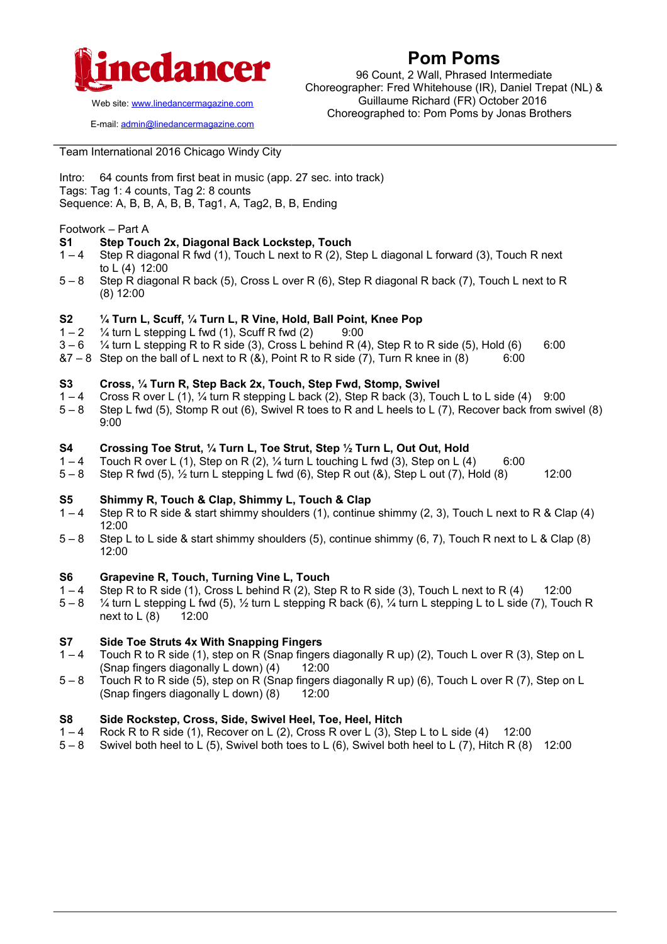

### **Pom Poms**

96 Count, 2 Wall, Phrased Intermediate Choreographer: Fred Whitehouse (IR), Daniel Trepat (NL) & Guillaume Richard (FR) October 2016 Choreographed to: Pom Poms by Jonas Brothers

Web site: www.linedancermagazine.com

E-mail: admin@linedancermagazine.com

Team International 2016 Chicago Windy City

Intro: 64 counts from first beat in music (app. 27 sec. into track) Tags: Tag 1: 4 counts, Tag 2: 8 counts Sequence: A, B, B, A, B, B, Tag1, A, Tag2, B, B, Ending

#### Footwork – Part A

### **S1 Step Touch 2x, Diagonal Back Lockstep, Touch**

- 1 4 Step R diagonal R fwd (1), Touch L next to R (2), Step L diagonal L forward (3), Touch R next to L (4) 12:00
- 5 8 Step R diagonal R back (5), Cross L over R (6), Step R diagonal R back (7), Touch L next to R (8) 12:00

# **S2**  $\frac{1}{4}$  Turn L, Scuff,  $\frac{1}{4}$  Turn L, R Vine, Hold, Ball Point, Knee Pop  $1-2$   $\frac{1}{4}$  turn L stepping L fwd (1). Scuff R fwd (2)  $\frac{9:00}{1}$

- $\frac{1}{4}$  turn L stepping L fwd (1), Scuff R fwd (2) 9:00
- $3-6$  % turn L stepping R to R side (3), Cross L behind R (4), Step R to R side (5), Hold (6) 6:00
- $87 8$  Step on the ball of L next to R  $(8)$ , Point R to R side (7), Turn R knee in  $(8)$  6:00

#### **S3 Cross, ¼ Turn R, Step Back 2x, Touch, Step Fwd, Stomp, Swivel**

- $1 4$  Cross R over L (1),  $\frac{1}{4}$  turn R stepping L back (2), Step R back (3), Touch L to L side (4) 9:00
- 5 8 Step L fwd (5), Stomp R out (6), Swivel R toes to R and L heels to L (7), Recover back from swivel (8) 9:00

# **S4 Crossing Toe Strut, <sup>1</sup>/<sub>4</sub> Turn L, Toe Strut, Step <sup>1</sup>/<sub>2</sub> Turn L, Out Out, Hold**  $1-4$  **Touch R over L (1). Step on R (2), <sup>1</sup>/<sub>4</sub> turn L touching L fwd (3). Step on L (4)**

- Touch R over L (1), Step on R (2),  $\frac{1}{4}$  turn L touching L fwd (3), Step on L (4) 6:00
- 5 8 Step R fwd (5), ½ turn L stepping L fwd (6), Step R out (&), Step L out (7), Hold (8) 12:00

#### **S5 Shimmy R, Touch & Clap, Shimmy L, Touch & Clap**

- 1 4 Step R to R side & start shimmy shoulders (1), continue shimmy (2, 3), Touch L next to R & Clap (4) 12:00
- 5 8 Step L to L side & start shimmy shoulders (5), continue shimmy (6, 7), Touch R next to L & Clap (8) 12:00

# **S6 Grapevine R, Touch, Turning Vine L, Touch**

- Step R to R side (1), Cross L behind R (2), Step R to R side (3), Touch L next to R (4)  $12:00$
- 5 8 ¼ turn L stepping L fwd (5), ½ turn L stepping R back (6), ¼ turn L stepping L to L side (7), Touch R next to L (8) 12:00

### **S7 Side Toe Struts 4x With Snapping Fingers**

- 1 4 Touch R to R side (1), step on R (Snap fingers diagonally R up) (2), Touch L over R (3), Step on L (Snap fingers diagonally L down)  $(4)$  12:00
- 5 8 Touch R to R side (5), step on R (Snap fingers diagonally R up) (6), Touch L over R (7), Step on L (Snap fingers diagonally  $L$  down)  $(8)$  12:00

#### **S8 Side Rockstep, Cross, Side, Swivel Heel, Toe, Heel, Hitch**

- $1 4$  Rock R to R side (1), Recover on L (2), Cross R over L (3), Step L to L side (4) 12:00
- 5 8 Swivel both heel to L (5), Swivel both toes to L (6), Swivel both heel to L (7), Hitch R (8) 12:00